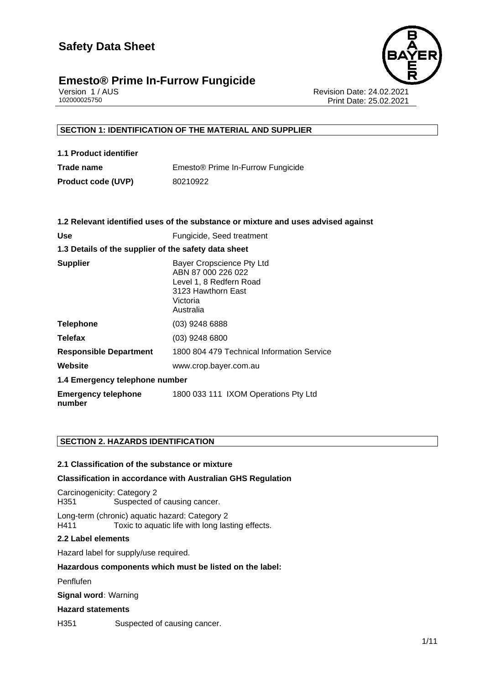

# **Emesto<sup>®</sup> Prime In-Furrow Fungicide**<br>Version 1/AUS

Version 1 / AUS Revision Date: 24.02.2021 Print Date: 25.02.2021

#### **SECTION 1: IDENTIFICATION OF THE MATERIAL AND SUPPLIER**

| 1.1 Product identifier    |                                               |
|---------------------------|-----------------------------------------------|
| Trade name                | Emesto <sup>®</sup> Prime In-Furrow Fungicide |
| <b>Product code (UVP)</b> | 80210922                                      |

|                                                      | 1.2 Relevant identified uses of the substance or mixture and uses advised against                                         |  |
|------------------------------------------------------|---------------------------------------------------------------------------------------------------------------------------|--|
| <b>Use</b>                                           | Fungicide, Seed treatment                                                                                                 |  |
| 1.3 Details of the supplier of the safety data sheet |                                                                                                                           |  |
| <b>Supplier</b>                                      | Bayer Cropscience Pty Ltd<br>ABN 87 000 226 022<br>Level 1, 8 Redfern Road<br>3123 Hawthorn East<br>Victoria<br>Australia |  |
| <b>Telephone</b>                                     | (03) 9248 6888                                                                                                            |  |
| <b>Telefax</b>                                       | $(03)$ 9248 6800                                                                                                          |  |
| <b>Responsible Department</b>                        | 1800 804 479 Technical Information Service                                                                                |  |
| Website                                              | www.crop.bayer.com.au                                                                                                     |  |
| 1.4 Emergency telephone number                       |                                                                                                                           |  |
| <b>Emergency telephone</b><br>number                 | 1800 033 111 IXOM Operations Pty Ltd                                                                                      |  |

#### **SECTION 2. HAZARDS IDENTIFICATION**

#### **2.1 Classification of the substance or mixture**

#### **Classification in accordance with Australian GHS Regulation**

Carcinogenicity: Category 2 H351 Suspected of causing cancer.

Long-term (chronic) aquatic hazard: Category 2 Toxic to aquatic life with long lasting effects.

#### **2.2 Label elements**

Hazard label for supply/use required.

#### **Hazardous components which must be listed on the label:**

• Penflufen

**Signal word:** Warning

#### **Hazard statements**

H351 Suspected of causing cancer.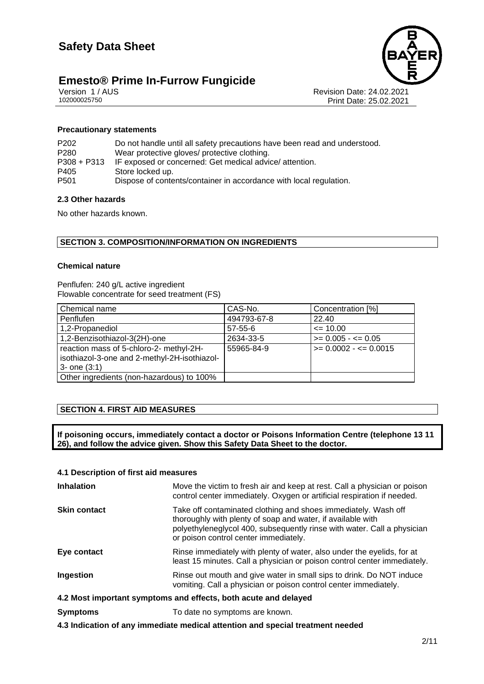

# **Emesto® Prime In-Furrow Fungicide**<br>Version 1/AUS

Version 1 / AUS Revision Date: 24.02.2021 Print Date: 25.02.2021

#### **Precautionary statements**

| Do not handle until all safety precautions have been read and understood.<br>Wear protective gloves/ protective clothing.<br>IF exposed or concerned: Get medical advice/attention.<br>Store locked up. |
|---------------------------------------------------------------------------------------------------------------------------------------------------------------------------------------------------------|
| Dispose of contents/container in accordance with local regulation.                                                                                                                                      |
|                                                                                                                                                                                                         |

#### **2.3 Other hazards**

No other hazards known.

#### **SECTION 3. COMPOSITION/INFORMATION ON INGREDIENTS**

#### **Chemical nature**

Penflufen: 240 g/L active ingredient Flowable concentrate for seed treatment (FS)

| Chemical name                                | CAS-No.       | Concentration [%]        |
|----------------------------------------------|---------------|--------------------------|
| Penflufen                                    | 494793-67-8   | 22.40                    |
| 1,2-Propanediol                              | $57 - 55 - 6$ | $\leq$ 10.00             |
| 1,2-Benzisothiazol-3(2H)-one                 | 2634-33-5     | $>= 0.005 - \le 0.05$    |
| reaction mass of 5-chloro-2- methyl-2H-      | 55965-84-9    | $>= 0.0002 - \le 0.0015$ |
| isothiazol-3-one and 2-methyl-2H-isothiazol- |               |                          |
| $3 -$ one $(3:1)$                            |               |                          |
| Other ingredients (non-hazardous) to 100%    |               |                          |

#### **SECTION 4. FIRST AID MEASURES**

**If poisoning occurs, immediately contact a doctor or Poisons Information Centre (telephone 13 11 26), and follow the advice given. Show this Safety Data Sheet to the doctor.**

#### **4.1 Description of first aid measures**

| <b>Inhalation</b>                                               | Move the victim to fresh air and keep at rest. Call a physician or poison<br>control center immediately. Oxygen or artificial respiration if needed.                                                                                              |  |
|-----------------------------------------------------------------|---------------------------------------------------------------------------------------------------------------------------------------------------------------------------------------------------------------------------------------------------|--|
| <b>Skin contact</b>                                             | Take off contaminated clothing and shoes immediately. Wash off<br>thoroughly with plenty of soap and water, if available with<br>polyethyleneglycol 400, subsequently rinse with water. Call a physician<br>or poison control center immediately. |  |
| Eye contact                                                     | Rinse immediately with plenty of water, also under the eyelids, for at<br>least 15 minutes. Call a physician or poison control center immediately.                                                                                                |  |
| Ingestion                                                       | Rinse out mouth and give water in small sips to drink. Do NOT induce<br>vomiting. Call a physician or poison control center immediately.                                                                                                          |  |
| 4.2 Most important symptoms and effects, both acute and delayed |                                                                                                                                                                                                                                                   |  |
| <b>Symptoms</b>                                                 | To date no symptoms are known.                                                                                                                                                                                                                    |  |

**4.3 Indication of any immediate medical attention and special treatment needed**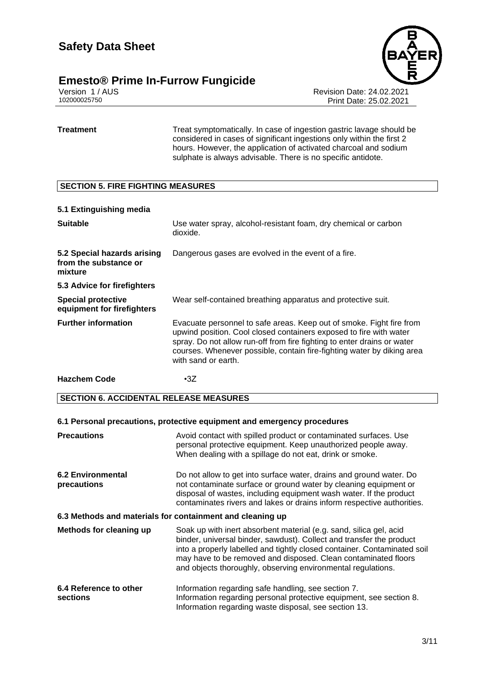## **Emesto<sup>®</sup> Prime In-Furrow Fungicide**<br>Version 1/AUS



Version 1 / AUS Revision Date: 24.02.2021 Print Date: 25.02.2021

**Treatment** Treat Symptomatically. In case of ingestion gastric lavage should be considered in cases of significant ingestions only within the first 2 hours. However, the application of activated charcoal and sodium sulphate is always advisable. There is no specific antidote.

#### **SECTION 5. FIRE FIGHTING MEASURES**

#### **5.1 Extinguishing media**

| <b>Suitable</b>                                                 | Use water spray, alcohol-resistant foam, dry chemical or carbon<br>dioxide.                                                                                                                                                                                                                                            |
|-----------------------------------------------------------------|------------------------------------------------------------------------------------------------------------------------------------------------------------------------------------------------------------------------------------------------------------------------------------------------------------------------|
| 5.2 Special hazards arising<br>from the substance or<br>mixture | Dangerous gases are evolved in the event of a fire.                                                                                                                                                                                                                                                                    |
| 5.3 Advice for firefighters                                     |                                                                                                                                                                                                                                                                                                                        |
| <b>Special protective</b><br>equipment for firefighters         | Wear self-contained breathing apparatus and protective suit.                                                                                                                                                                                                                                                           |
| <b>Further information</b>                                      | Evacuate personnel to safe areas. Keep out of smoke. Fight fire from<br>upwind position. Cool closed containers exposed to fire with water<br>spray. Do not allow run-off from fire fighting to enter drains or water<br>courses. Whenever possible, contain fire-fighting water by diking area<br>with sand or earth. |
| <b>Hazchem Code</b>                                             | $\cdot$ 3Z                                                                                                                                                                                                                                                                                                             |

#### **SECTION 6. ACCIDENTAL RELEASE MEASURES**

#### **6.1 Personal precautions, protective equipment and emergency procedures**

| <b>Precautions</b>                                        | Avoid contact with spilled product or contaminated surfaces. Use<br>personal protective equipment. Keep unauthorized people away.<br>When dealing with a spillage do not eat, drink or smoke.                                                                                                                                                            |  |
|-----------------------------------------------------------|----------------------------------------------------------------------------------------------------------------------------------------------------------------------------------------------------------------------------------------------------------------------------------------------------------------------------------------------------------|--|
| <b>6.2 Environmental</b><br>precautions                   | Do not allow to get into surface water, drains and ground water. Do<br>not contaminate surface or ground water by cleaning equipment or<br>disposal of wastes, including equipment wash water. If the product<br>contaminates rivers and lakes or drains inform respective authorities.                                                                  |  |
| 6.3 Methods and materials for containment and cleaning up |                                                                                                                                                                                                                                                                                                                                                          |  |
| Methods for cleaning up                                   | Soak up with inert absorbent material (e.g. sand, silica gel, acid<br>binder, universal binder, sawdust). Collect and transfer the product<br>into a properly labelled and tightly closed container. Contaminated soil<br>may have to be removed and disposed. Clean contaminated floors<br>and objects thoroughly, observing environmental regulations. |  |
| 6.4 Reference to other<br>sections                        | Information regarding safe handling, see section 7.<br>Information regarding personal protective equipment, see section 8.<br>Information regarding waste disposal, see section 13.                                                                                                                                                                      |  |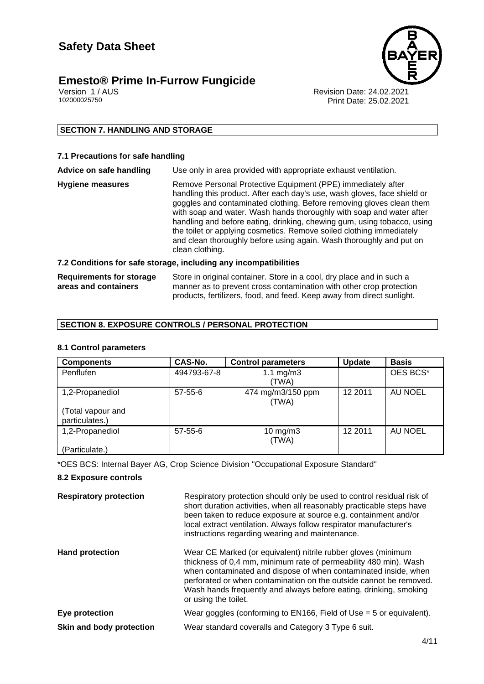### **Emesto<sup>®</sup> Prime In-Furrow Fungicide**

Version 1 / AUS Revision Date: 24.02.2021 Print Date: 25.02.2021

#### **SECTION 7. HANDLING AND STORAGE**

#### **7.1 Precautions for safe handling**

**Advice on safe handling** Use only in area provided with appropriate exhaust ventilation.

**Hygiene measures** Remove Personal Protective Equipment (PPE) immediately after handling this product. After each day's use, wash gloves, face shield or goggles and contaminated clothing. Before removing gloves clean them with soap and water. Wash hands thoroughly with soap and water after handling and before eating, drinking, chewing gum, using tobacco, using the toilet or applying cosmetics. Remove soiled clothing immediately and clean thoroughly before using again. Wash thoroughly and put on clean clothing.

#### **7.2 Conditions for safe storage, including any incompatibilities**

| <b>Requirements for storage</b> | Store in original container. Store in a cool, dry place and in such a  |
|---------------------------------|------------------------------------------------------------------------|
| areas and containers            | manner as to prevent cross contamination with other crop protection    |
|                                 | products, fertilizers, food, and feed. Keep away from direct sunlight. |

#### **SECTION 8. EXPOSURE CONTROLS / PERSONAL PROTECTION**

#### **8.1 Control parameters**

| <b>Components</b>                   | CAS-No.       | <b>Control parameters</b>  | <b>Update</b> | <b>Basis</b> |
|-------------------------------------|---------------|----------------------------|---------------|--------------|
| Penflufen                           | 494793-67-8   | 1.1 $mg/m3$<br>(TWA)       |               | OES BCS*     |
| 1,2-Propanediol                     | $57 - 55 - 6$ | 474 mg/m3/150 ppm<br>(TWA) | 12 2011       | AU NOEL      |
| (Total vapour and<br>particulates.) |               |                            |               |              |
| 1,2-Propanediol                     | $57 - 55 - 6$ | $10$ mg/m $3$<br>(TWA)     | 12 2011       | AU NOEL      |
| (Particulate.)                      |               |                            |               |              |

\*OES BCS: Internal Bayer AG, Crop Science Division "Occupational Exposure Standard"

#### **8.2 Exposure controls**

**Respiratory protection** Respiratory protection should only be used to control residual risk of short duration activities, when all reasonably practicable steps have been taken to reduce exposure at source e.g. containment and/or local extract ventilation. Always follow respirator manufacturer's instructions regarding wearing and maintenance. **Hand protection Wear CE Marked (or equivalent) nitrile rubber gloves (minimum** thickness of 0,4 mm, minimum rate of permeability 480 min). Wash when contaminated and dispose of when contaminated inside, when perforated or when contamination on the outside cannot be removed. Wash hands frequently and always before eating, drinking, smoking

|                          | or using the toilet.                                                  |
|--------------------------|-----------------------------------------------------------------------|
| Eye protection           | Wear goggles (conforming to EN166, Field of Use $=$ 5 or equivalent). |
| Skin and body protection | Wear standard coveralls and Category 3 Type 6 suit.                   |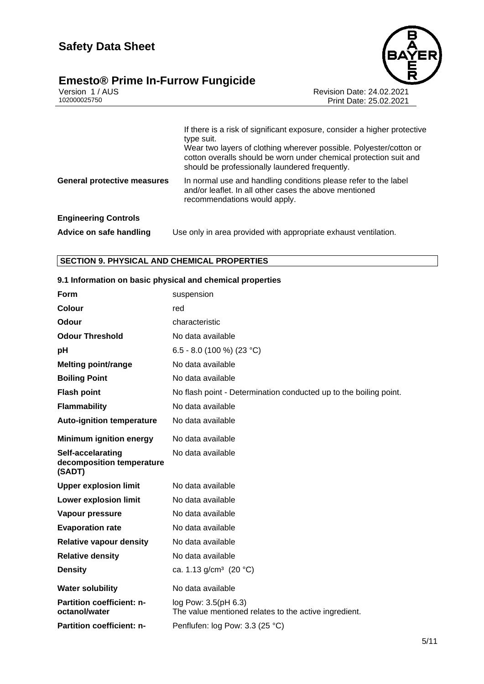#### **Emesto® Prime In-Furrow Fungicide 5/11**



Version 1 / AUS Revision Date: 24.02.2021 102000025750 Print Date: 25.02.2021

|                                    | If there is a risk of significant exposure, consider a higher protective<br>type suit.<br>Wear two layers of clothing wherever possible. Polyester/cotton or<br>cotton overalls should be worn under chemical protection suit and<br>should be professionally laundered frequently. |
|------------------------------------|-------------------------------------------------------------------------------------------------------------------------------------------------------------------------------------------------------------------------------------------------------------------------------------|
| <b>General protective measures</b> | In normal use and handling conditions please refer to the label<br>and/or leaflet. In all other cases the above mentioned<br>recommendations would apply.                                                                                                                           |
| <b>Engineering Controls</b>        |                                                                                                                                                                                                                                                                                     |
| Advice on safe handling            | Use only in area provided with appropriate exhaust ventilation.                                                                                                                                                                                                                     |

#### **SECTION 9. PHYSICAL AND CHEMICAL PROPERTIES**

| 3.1 INTOINIQUON ON DASIC PHYSICAI AND CHENIICAI PrOPERTES |                                                                               |
|-----------------------------------------------------------|-------------------------------------------------------------------------------|
| <b>Form</b>                                               | suspension                                                                    |
| <b>Colour</b>                                             | red                                                                           |
| Odour                                                     | characteristic                                                                |
| <b>Odour Threshold</b>                                    | No data available                                                             |
| pH                                                        | 6.5 - 8.0 (100 %) (23 °C)                                                     |
| <b>Melting point/range</b>                                | No data available                                                             |
| <b>Boiling Point</b>                                      | No data available                                                             |
| <b>Flash point</b>                                        | No flash point - Determination conducted up to the boiling point.             |
| <b>Flammability</b>                                       | No data available                                                             |
| <b>Auto-ignition temperature</b>                          | No data available                                                             |
| <b>Minimum ignition energy</b>                            | No data available                                                             |
| Self-accelarating<br>decomposition temperature<br>(SADT)  | No data available                                                             |
| <b>Upper explosion limit</b>                              | No data available                                                             |
| <b>Lower explosion limit</b>                              | No data available                                                             |
| Vapour pressure                                           | No data available                                                             |
| <b>Evaporation rate</b>                                   | No data available                                                             |
| <b>Relative vapour density</b>                            | No data available                                                             |
| <b>Relative density</b>                                   | No data available                                                             |
| <b>Density</b>                                            | ca. 1.13 g/cm <sup>3</sup> (20 °C)                                            |
| <b>Water solubility</b>                                   | No data available                                                             |
| Partition coefficient: n-<br>octanol/water                | log Pow: 3.5(pH 6.3)<br>The value mentioned relates to the active ingredient. |
| <b>Partition coefficient: n-</b>                          | Penflufen: log Pow: 3.3 (25 °C)                                               |

#### **9.1 Information on basic physical and chemical properties**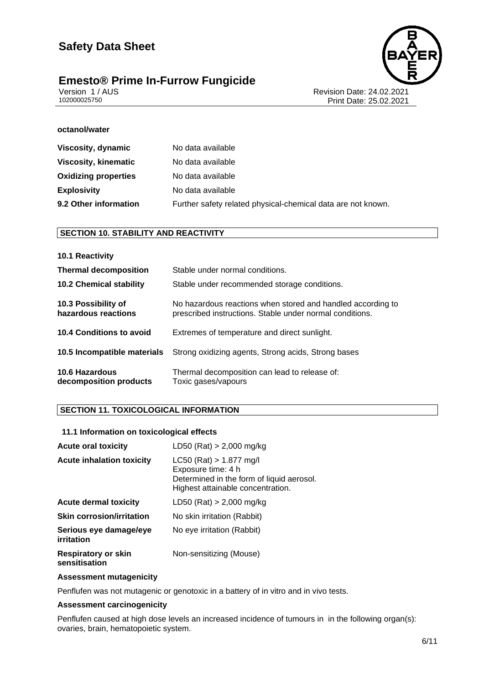# **Emesto® Prime In-Furrow Fungicide**<br>Version 1/AUS





Version 1 / AUS<br>102000025750<br>Print Date: 25.02.2021 Print Date: 25.02.2021

#### **octanol/water**

| Viscosity, dynamic          | No data available                                            |
|-----------------------------|--------------------------------------------------------------|
| <b>Viscosity, kinematic</b> | No data available                                            |
| <b>Oxidizing properties</b> | No data available                                            |
| <b>Explosivity</b>          | No data available                                            |
| 9.2 Other information       | Further safety related physical-chemical data are not known. |
|                             |                                                              |

#### **SECTION 10. STABILITY AND REACTIVITY**

| <b>10.1 Reactivity</b>                     |                                                                                                                         |
|--------------------------------------------|-------------------------------------------------------------------------------------------------------------------------|
| <b>Thermal decomposition</b>               | Stable under normal conditions.                                                                                         |
| <b>10.2 Chemical stability</b>             | Stable under recommended storage conditions.                                                                            |
| 10.3 Possibility of<br>hazardous reactions | No hazardous reactions when stored and handled according to<br>prescribed instructions. Stable under normal conditions. |
| 10.4 Conditions to avoid                   | Extremes of temperature and direct sunlight.                                                                            |
| 10.5 Incompatible materials                | Strong oxidizing agents, Strong acids, Strong bases                                                                     |
| 10.6 Hazardous<br>decomposition products   | Thermal decomposition can lead to release of:<br>Toxic gases/vapours                                                    |

#### **SECTION 11. TOXICOLOGICAL INFORMATION**

#### **11.1 Information on toxicological effects**

| <b>Acute oral toxicity</b>                  | LD50 (Rat) $> 2,000$ mg/kg                                                                                                        |
|---------------------------------------------|-----------------------------------------------------------------------------------------------------------------------------------|
| <b>Acute inhalation toxicity</b>            | $LC50$ (Rat) > 1.877 mg/l<br>Exposure time: 4 h<br>Determined in the form of liquid aerosol.<br>Highest attainable concentration. |
| <b>Acute dermal toxicity</b>                | $LD50$ (Rat) > 2,000 mg/kg                                                                                                        |
| <b>Skin corrosion/irritation</b>            | No skin irritation (Rabbit)                                                                                                       |
| Serious eye damage/eye<br>irritation        | No eye irritation (Rabbit)                                                                                                        |
| <b>Respiratory or skin</b><br>sensitisation | Non-sensitizing (Mouse)                                                                                                           |

#### **Assessment mutagenicity**

Penflufen was not mutagenic or genotoxic in a battery of in vitro and in vivo tests.

#### **Assessment carcinogenicity**

Penflufen caused at high dose levels an increased incidence of tumours in in the following organ(s): ovaries, brain, hematopoietic system.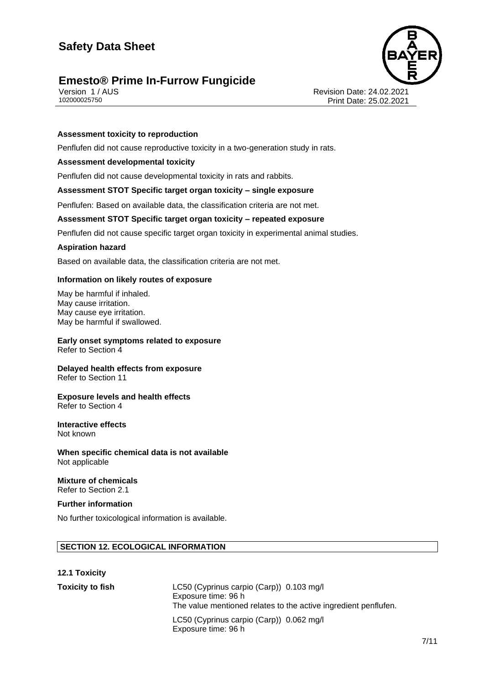### **Emesto<sup>®</sup> Prime In-Furrow Fungicide**



Version 1 / AUS Revision Date: 24.02.2021 Print Date: 25.02.2021

#### **Assessment toxicity to reproduction**

Penflufen did not cause reproductive toxicity in a two-generation study in rats.

#### **Assessment developmental toxicity**

Penflufen did not cause developmental toxicity in rats and rabbits.

#### **Assessment STOT Specific target organ toxicity – single exposure**

Penflufen: Based on available data, the classification criteria are not met.

#### **Assessment STOT Specific target organ toxicity – repeated exposure**

Penflufen did not cause specific target organ toxicity in experimental animal studies.

#### **Aspiration hazard**

Based on available data, the classification criteria are not met.

#### **Information on likely routes of exposure**

May be harmful if inhaled. May cause irritation. May cause eye irritation. May be harmful if swallowed.

#### **Early onset symptoms related to exposure** Refer to Section 4

**Delayed health effects from exposure** Refer to Section 11

#### **Exposure levels and health effects** Refer to Section 4

#### **Interactive effects** Not known

**When specific chemical data is not available** Not applicable

#### **Mixture of chemicals** Refer to Section 2.1

#### **Further information**

No further toxicological information is available.

#### **SECTION 12. ECOLOGICAL INFORMATION**

| <b>12.1 Toxicity</b>    |                                                                                                                                    |
|-------------------------|------------------------------------------------------------------------------------------------------------------------------------|
| <b>Toxicity to fish</b> | LC50 (Cyprinus carpio (Carp)) 0.103 mg/l<br>Exposure time: 96 h<br>The value mentioned relates to the active ingredient penflufen. |
|                         | LC50 (Cyprinus carpio (Carp)) 0.062 mg/l<br>Exposure time: 96 h                                                                    |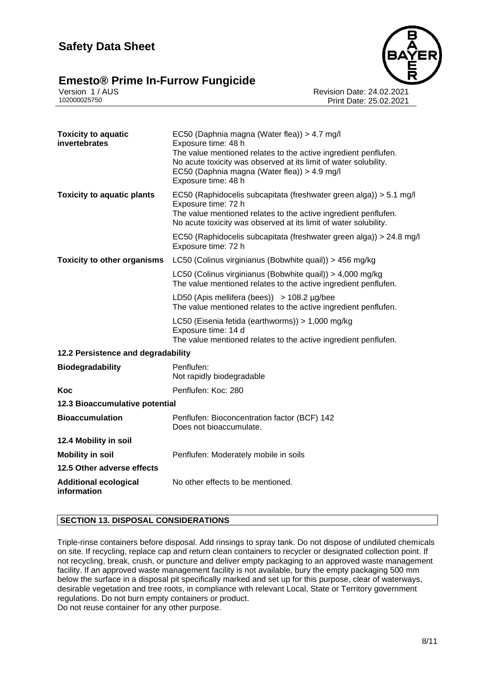# **Emesto<sup>®</sup> Prime In-Furrow Fungicide**<br>Version 1/AUS





Version 1 / AUS Revision Date: 24.02.2021 Print Date: 25.02.2021

| <b>Toxicity to aquatic</b><br>invertebrates | EC50 (Daphnia magna (Water flea)) > 4.7 mg/l<br>Exposure time: 48 h<br>The value mentioned relates to the active ingredient penflufen.<br>No acute toxicity was observed at its limit of water solubility.<br>EC50 (Daphnia magna (Water flea)) > 4.9 mg/l<br>Exposure time: 48 h |
|---------------------------------------------|-----------------------------------------------------------------------------------------------------------------------------------------------------------------------------------------------------------------------------------------------------------------------------------|
| <b>Toxicity to aquatic plants</b>           | EC50 (Raphidocelis subcapitata (freshwater green alga)) > 5.1 mg/l<br>Exposure time: 72 h<br>The value mentioned relates to the active ingredient penflufen.<br>No acute toxicity was observed at its limit of water solubility.                                                  |
|                                             | EC50 (Raphidocelis subcapitata (freshwater green alga)) > 24.8 mg/l<br>Exposure time: 72 h                                                                                                                                                                                        |
| <b>Toxicity to other organisms</b>          | LC50 (Colinus virginianus (Bobwhite quail)) > 456 mg/kg                                                                                                                                                                                                                           |
|                                             | LC50 (Colinus virginianus (Bobwhite quail)) > 4,000 mg/kg<br>The value mentioned relates to the active ingredient penflufen.                                                                                                                                                      |
|                                             | LD50 (Apis mellifera (bees)) $>$ 108.2 µg/bee<br>The value mentioned relates to the active ingredient penflufen.                                                                                                                                                                  |
|                                             | LC50 (Eisenia fetida (earthworms)) > 1,000 mg/kg<br>Exposure time: 14 d<br>The value mentioned relates to the active ingredient penflufen.                                                                                                                                        |
| 12.2 Persistence and degradability          |                                                                                                                                                                                                                                                                                   |
| <b>Biodegradability</b>                     | Penflufen:<br>Not rapidly biodegradable                                                                                                                                                                                                                                           |
| Koc                                         | Penflufen: Koc: 280                                                                                                                                                                                                                                                               |
| 12.3 Bioaccumulative potential              |                                                                                                                                                                                                                                                                                   |
| <b>Bioaccumulation</b>                      | Penflufen: Bioconcentration factor (BCF) 142<br>Does not bioaccumulate.                                                                                                                                                                                                           |
| 12.4 Mobility in soil                       |                                                                                                                                                                                                                                                                                   |
| <b>Mobility in soil</b>                     | Penflufen: Moderately mobile in soils                                                                                                                                                                                                                                             |
| 12.5 Other adverse effects                  |                                                                                                                                                                                                                                                                                   |
| <b>Additional ecological</b><br>information | No other effects to be mentioned.                                                                                                                                                                                                                                                 |

#### **SECTION 13. DISPOSAL CONSIDERATIONS**

Triple-rinse containers before disposal. Add rinsings to spray tank. Do not dispose of undiluted chemicals on site. If recycling, replace cap and return clean containers to recycler or designated collection point. If not recycling, break, crush, or puncture and deliver empty packaging to an approved waste management facility. If an approved waste management facility is not available, bury the empty packaging 500 mm below the surface in a disposal pit specifically marked and set up for this purpose, clear of waterways, desirable vegetation and tree roots, in compliance with relevant Local, State or Territory government regulations. Do not burn empty containers or product. Do not reuse container for any other purpose.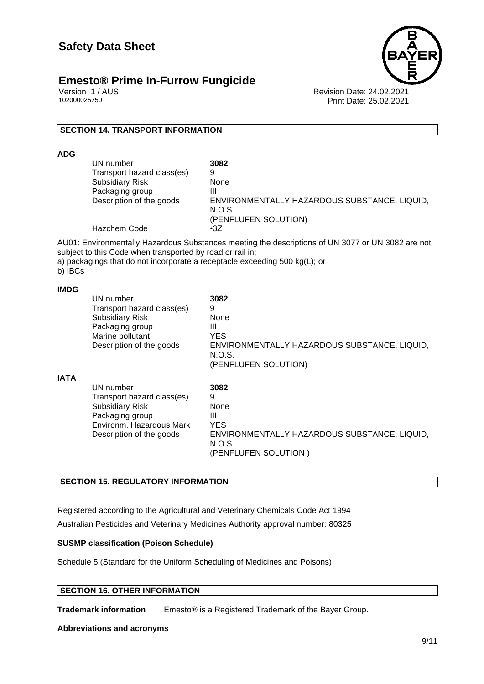

#### **Emesto<sup>®</sup> Prime In-Furrow Fungicide**

Version 1 / AUS Revision Date: 24.02.2021 Print Date: 25.02.2021

#### **SECTION 14. TRANSPORT INFORMATION**

**ADG**

| UN number                  | 3082                                         |
|----------------------------|----------------------------------------------|
| Transport hazard class(es) | 9                                            |
| <b>Subsidiary Risk</b>     | None                                         |
| Packaging group            | Ш                                            |
| Description of the goods   | ENVIRONMENTALLY HAZARDOUS SUBSTANCE, LIQUID, |
|                            | N.O.S.                                       |
|                            | (PENFLUFEN SOLUTION)                         |
| Hazchem Code               | $\cdot$ 3Z                                   |

AU01: Environmentally Hazardous Substances meeting the descriptions of UN 3077 or UN 3082 are not subject to this Code when transported by road or rail in;

a) packagings that do not incorporate a receptacle exceeding 500 kg(L); or

b) IBCs

#### **IMDG**

|             | UN number<br>Transport hazard class(es)<br><b>Subsidiary Risk</b><br>Packaging group<br>Marine pollutant<br>Description of the goods         | 3082<br>9<br>None<br>Ш<br><b>YES</b><br>ENVIRONMENTALLY HAZARDOUS SUBSTANCE, LIQUID,<br>N.O.S.<br>(PENFLUFEN SOLUTION) |
|-------------|----------------------------------------------------------------------------------------------------------------------------------------------|------------------------------------------------------------------------------------------------------------------------|
| <b>IATA</b> | UN number<br>Transport hazard class(es)<br><b>Subsidiary Risk</b><br>Packaging group<br>Environm. Hazardous Mark<br>Description of the goods | 3082<br>9<br>None<br>Ш<br><b>YES</b><br>ENVIRONMENTALLY HAZARDOUS SUBSTANCE, LIQUID,<br>N.O.S.<br>(PENFLUFEN SOLUTION) |

#### **SECTION 15. REGULATORY INFORMATION**

Registered according to the Agricultural and Veterinary Chemicals Code Act 1994 Australian Pesticides and Veterinary Medicines Authority approval number: 80325

#### **SUSMP classification (Poison Schedule)**

Schedule 5 (Standard for the Uniform Scheduling of Medicines and Poisons)

#### **SECTION 16. OTHER INFORMATION**

**Trademark information** Emesto® is a Registered Trademark of the Bayer Group.

#### **Abbreviations and acronyms**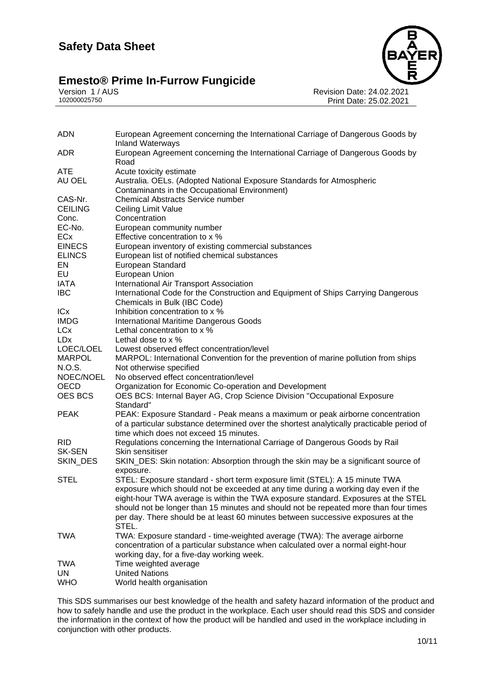# Emesto® Prime In-Furrow Fungicide<br>
102000025750<br>
102000025750



Revision Date: 24.02.2021 Print Date: 25.02.2021

| <b>ADN</b>      | European Agreement concerning the International Carriage of Dangerous Goods by<br><b>Inland Waterways</b> |
|-----------------|-----------------------------------------------------------------------------------------------------------|
| <b>ADR</b>      | European Agreement concerning the International Carriage of Dangerous Goods by<br>Road                    |
| <b>ATE</b>      | Acute toxicity estimate                                                                                   |
| AU OEL          | Australia. OELs. (Adopted National Exposure Standards for Atmospheric                                     |
|                 | Contaminants in the Occupational Environment)                                                             |
| CAS-Nr.         | <b>Chemical Abstracts Service number</b>                                                                  |
| <b>CEILING</b>  | Ceiling Limit Value                                                                                       |
| Conc.           | Concentration                                                                                             |
| EC-No.          | European community number                                                                                 |
| ECx             | Effective concentration to x %                                                                            |
| <b>EINECS</b>   | European inventory of existing commercial substances                                                      |
| <b>ELINCS</b>   | European list of notified chemical substances                                                             |
| EN              | European Standard                                                                                         |
| EU              | European Union                                                                                            |
| IATA            | International Air Transport Association                                                                   |
| <b>IBC</b>      | International Code for the Construction and Equipment of Ships Carrying Dangerous                         |
|                 | Chemicals in Bulk (IBC Code)                                                                              |
| ICx             | Inhibition concentration to x %                                                                           |
| <b>IMDG</b>     | <b>International Maritime Dangerous Goods</b>                                                             |
| <b>LCx</b>      | Lethal concentration to x %                                                                               |
| <b>LDx</b>      | Lethal dose to $\times$ %                                                                                 |
| LOEC/LOEL       | Lowest observed effect concentration/level                                                                |
| <b>MARPOL</b>   | MARPOL: International Convention for the prevention of marine pollution from ships                        |
| N.O.S.          | Not otherwise specified                                                                                   |
| NOEC/NOEL       | No observed effect concentration/level                                                                    |
| <b>OECD</b>     | Organization for Economic Co-operation and Development                                                    |
| OES BCS         | OES BCS: Internal Bayer AG, Crop Science Division "Occupational Exposure<br>Standard"                     |
| <b>PEAK</b>     | PEAK: Exposure Standard - Peak means a maximum or peak airborne concentration                             |
|                 | of a particular substance determined over the shortest analytically practicable period of                 |
|                 | time which does not exceed 15 minutes.                                                                    |
| <b>RID</b>      | Regulations concerning the International Carriage of Dangerous Goods by Rail                              |
| <b>SK-SEN</b>   | Skin sensitiser                                                                                           |
| <b>SKIN DES</b> | SKIN_DES: Skin notation: Absorption through the skin may be a significant source of                       |
|                 | exposure.                                                                                                 |
| <b>STEL</b>     | STEL: Exposure standard - short term exposure limit (STEL): A 15 minute TWA                               |
|                 | exposure which should not be exceeded at any time during a working day even if the                        |
|                 | eight-hour TWA average is within the TWA exposure standard. Exposures at the STEL                         |
|                 | should not be longer than 15 minutes and should not be repeated more than four times                      |
|                 | per day. There should be at least 60 minutes between successive exposures at the                          |
|                 | STEL.                                                                                                     |
| <b>TWA</b>      | TWA: Exposure standard - time-weighted average (TWA): The average airborne                                |
|                 | concentration of a particular substance when calculated over a normal eight-hour                          |
|                 | working day, for a five-day working week.                                                                 |
| <b>TWA</b>      | Time weighted average                                                                                     |
| UN              | <b>United Nations</b>                                                                                     |
| <b>WHO</b>      | World health organisation                                                                                 |

This SDS summarises our best knowledge of the health and safety hazard information of the product and how to safely handle and use the product in the workplace. Each user should read this SDS and consider the information in the context of how the product will be handled and used in the workplace including in conjunction with other products.